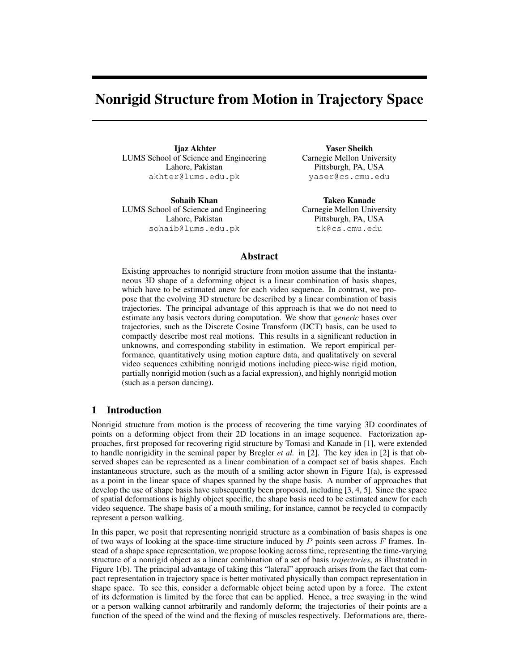# Nonrigid Structure from Motion in Trajectory Space

Ijaz Akhter LUMS School of Science and Engineering Lahore, Pakistan akhter@lums.edu.pk

Sohaib Khan LUMS School of Science and Engineering Lahore, Pakistan sohaib@lums.edu.pk

Yaser Sheikh Carnegie Mellon University Pittsburgh, PA, USA yaser@cs.cmu.edu

Takeo Kanade Carnegie Mellon University Pittsburgh, PA, USA tk@cs.cmu.edu

# Abstract

Existing approaches to nonrigid structure from motion assume that the instantaneous 3D shape of a deforming object is a linear combination of basis shapes, which have to be estimated anew for each video sequence. In contrast, we propose that the evolving 3D structure be described by a linear combination of basis trajectories. The principal advantage of this approach is that we do not need to estimate any basis vectors during computation. We show that *generic* bases over trajectories, such as the Discrete Cosine Transform (DCT) basis, can be used to compactly describe most real motions. This results in a significant reduction in unknowns, and corresponding stability in estimation. We report empirical performance, quantitatively using motion capture data, and qualitatively on several video sequences exhibiting nonrigid motions including piece-wise rigid motion, partially nonrigid motion (such as a facial expression), and highly nonrigid motion (such as a person dancing).

# 1 Introduction

Nonrigid structure from motion is the process of recovering the time varying 3D coordinates of points on a deforming object from their 2D locations in an image sequence. Factorization approaches, first proposed for recovering rigid structure by Tomasi and Kanade in [1], were extended to handle nonrigidity in the seminal paper by Bregler *et al.* in [2]. The key idea in [2] is that observed shapes can be represented as a linear combination of a compact set of basis shapes. Each instantaneous structure, such as the mouth of a smiling actor shown in Figure 1(a), is expressed as a point in the linear space of shapes spanned by the shape basis. A number of approaches that develop the use of shape basis have subsequently been proposed, including [3, 4, 5]. Since the space of spatial deformations is highly object specific, the shape basis need to be estimated anew for each video sequence. The shape basis of a mouth smiling, for instance, cannot be recycled to compactly represent a person walking.

In this paper, we posit that representing nonrigid structure as a combination of basis shapes is one of two ways of looking at the space-time structure induced by  $P$  points seen across  $F$  frames. Instead of a shape space representation, we propose looking across time, representing the time-varying structure of a nonrigid object as a linear combination of a set of basis *trajectories*, as illustrated in Figure 1(b). The principal advantage of taking this "lateral" approach arises from the fact that compact representation in trajectory space is better motivated physically than compact representation in shape space. To see this, consider a deformable object being acted upon by a force. The extent of its deformation is limited by the force that can be applied. Hence, a tree swaying in the wind or a person walking cannot arbitrarily and randomly deform; the trajectories of their points are a function of the speed of the wind and the flexing of muscles respectively. Deformations are, there-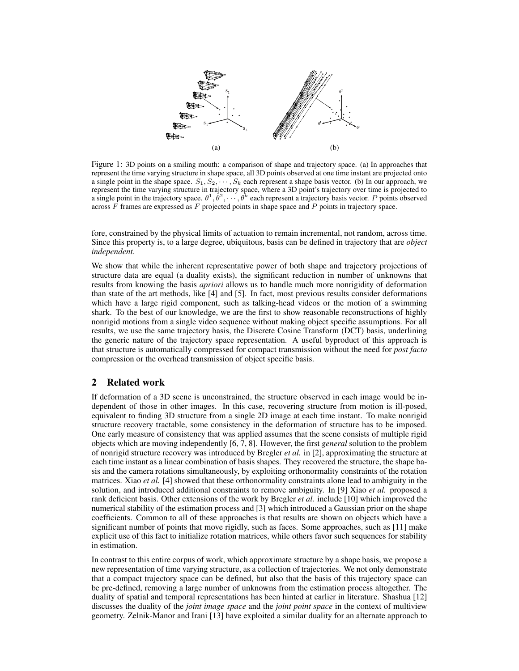

Figure 1: 3D points on a smiling mouth: a comparison of shape and trajectory space. (a) In approaches that represent the time varying structure in shape space, all 3D points observed at one time instant are projected onto a single point in the shape space.  $S_1, S_2, \dots, S_k$  each represent a shape basis vector. (b) In our approach, we represent the time varying structure in trajectory space, where a 3D point's trajectory over time is projected to a single point in the trajectory space.  $\theta^1, \theta^2, \cdots, \theta^k$  each represent a trajectory basis vector. P points observed across  $\overline{F}$  frames are expressed as  $\overline{F}$  projected points in shape space and  $\overline{P}$  points in trajectory space.

fore, constrained by the physical limits of actuation to remain incremental, not random, across time. Since this property is, to a large degree, ubiquitous, basis can be defined in trajectory that are *object independent*.

We show that while the inherent representative power of both shape and trajectory projections of structure data are equal (a duality exists), the significant reduction in number of unknowns that results from knowing the basis *apriori* allows us to handle much more nonrigidity of deformation than state of the art methods, like [4] and [5]. In fact, most previous results consider deformations which have a large rigid component, such as talking-head videos or the motion of a swimming shark. To the best of our knowledge, we are the first to show reasonable reconstructions of highly nonrigid motions from a single video sequence without making object specific assumptions. For all results, we use the same trajectory basis, the Discrete Cosine Transform (DCT) basis, underlining the generic nature of the trajectory space representation. A useful byproduct of this approach is that structure is automatically compressed for compact transmission without the need for *post facto* compression or the overhead transmission of object specific basis.

## 2 Related work

If deformation of a 3D scene is unconstrained, the structure observed in each image would be independent of those in other images. In this case, recovering structure from motion is ill-posed, equivalent to finding 3D structure from a single 2D image at each time instant. To make nonrigid structure recovery tractable, some consistency in the deformation of structure has to be imposed. One early measure of consistency that was applied assumes that the scene consists of multiple rigid objects which are moving independently [6, 7, 8]. However, the first *general* solution to the problem of nonrigid structure recovery was introduced by Bregler *et al.* in [2], approximating the structure at each time instant as a linear combination of basis shapes. They recovered the structure, the shape basis and the camera rotations simultaneously, by exploiting orthonormality constraints of the rotation matrices. Xiao *et al.* [4] showed that these orthonormality constraints alone lead to ambiguity in the solution, and introduced additional constraints to remove ambiguity. In [9] Xiao *et al.* proposed a rank deficient basis. Other extensions of the work by Bregler *et al.* include [10] which improved the numerical stability of the estimation process and [3] which introduced a Gaussian prior on the shape coefficients. Common to all of these approaches is that results are shown on objects which have a significant number of points that move rigidly, such as faces. Some approaches, such as [11] make explicit use of this fact to initialize rotation matrices, while others favor such sequences for stability in estimation.

In contrast to this entire corpus of work, which approximate structure by a shape basis, we propose a new representation of time varying structure, as a collection of trajectories. We not only demonstrate that a compact trajectory space can be defined, but also that the basis of this trajectory space can be pre-defined, removing a large number of unknowns from the estimation process altogether. The duality of spatial and temporal representations has been hinted at earlier in literature. Shashua [12] discusses the duality of the *joint image space* and the *joint point space* in the context of multiview geometry. Zelnik-Manor and Irani [13] have exploited a similar duality for an alternate approach to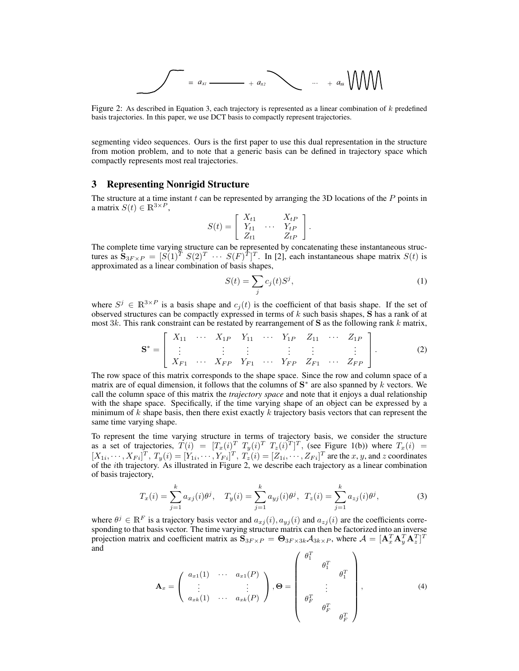$$
= a_{x_1} \cdots + a_{x_2} \cdots + a_{x_k} \cdots + a_{x_k} \cdots
$$

Figure 2: As described in Equation 3, each trajectory is represented as a linear combination of k predefined basis trajectories. In this paper, we use DCT basis to compactly represent trajectories.

segmenting video sequences. Ours is the first paper to use this dual representation in the structure from motion problem, and to note that a generic basis can be defined in trajectory space which compactly represents most real trajectories.

## 3 Representing Nonrigid Structure

The structure at a time instant  $t$  can be represented by arranging the 3D locations of the  $P$  points in a matrix  $S(t) \in \mathbb{R}^{3 \times P}$ ,

$$
S(t) = \left[ \begin{array}{ccc} X_{t1} & \dots & X_{tP} \\ Y_{t1} & \dots & Y_{tP} \\ Z_{t1} & & Z_{tP} \end{array} \right].
$$

The complete time varying structure can be represented by concatenating these instantaneous structures as  $\mathbf{S}_{3F\times P} = [S(1)^T \ S(2)^T \ \cdots \ S(F)^T]^T$ . In [2], each instantaneous shape matrix  $S(t)$  is approximated as a linear combination of basis shapes,

$$
S(t) = \sum_{j} c_j(t) S^j,
$$
\n(1)

where  $S^j \in \mathbb{R}^{3 \times P}$  is a basis shape and  $c_j(t)$  is the coefficient of that basis shape. If the set of observed structures can be compactly expressed in terms of  $k$  such basis shapes,  $S$  has a rank of at most 3k. This rank constraint can be restated by rearrangement of S as the following rank k matrix, 

$$
\mathbf{S}^* = \begin{bmatrix} X_{11} & \cdots & X_{1P} & Y_{11} & \cdots & Y_{1P} & Z_{11} & \cdots & Z_{1P} \\ \vdots & \vdots & \vdots & \vdots & \vdots & \vdots \\ X_{F1} & \cdots & X_{FP} & Y_{F1} & \cdots & Y_{FP} & Z_{F1} & \cdots & Z_{FP} \end{bmatrix} .
$$
 (2)

The row space of this matrix corresponds to the shape space. Since the row and column space of a matrix are of equal dimension, it follows that the columns of  $S^*$  are also spanned by k vectors. We call the column space of this matrix the *trajectory space* and note that it enjoys a dual relationship with the shape space. Specifically, if the time varying shape of an object can be expressed by a minimum of  $k$  shape basis, then there exist exactly  $k$  trajectory basis vectors that can represent the same time varying shape.

To represent the time varying structure in terms of trajectory basis, we consider the structure as a set of trajectories,  $T(i) = [T_x(i)^T T_y(i)^T T_z(i)^T]^T$ , (see Figure 1(b)) where  $T_x(i) =$  $[X_{1i},\cdots,X_{Fi}]^T$ ,  $T_y(i)=[Y_{1i},\cdots,Y_{Fi}]^T$ ,  $T_z(i)=[Z_{1i},\cdots,Z_{Fi}]^T$  are the  $x, y$ , and  $z$  coordinates of the ith trajectory. As illustrated in Figure 2, we describe each trajectory as a linear combination of basis trajectory,

$$
T_x(i) = \sum_{j=1}^k a_{xj}(i)\theta^j, \quad T_y(i) = \sum_{j=1}^k a_{yj}(i)\theta^j, \quad T_z(i) = \sum_{j=1}^k a_{zj}(i)\theta^j,
$$
 (3)

where  $\theta^j \in \mathbb{R}^F$  is a trajectory basis vector and  $a_{xj}(i), a_{yj}(i)$  and  $a_{zj}(i)$  are the coefficients corresponding to that basis vector. The time varying structure matrix can then be factorized into an inverse projection matrix and coefficient matrix as  $\mathbf{S}_{3F\times P} = \mathbf{\Theta}_{3F\times 3k} \mathcal{A}_{3k\times P}$ , where  $\mathcal{A} = [\mathbf{A}_x^T \mathbf{A}_y^T \mathbf{A}_z^T]^T$ and  $\overline{\phantom{a}}$  $\mathbf{r}$ 

$$
\mathbf{A}_x = \begin{pmatrix} a_{x1}(1) & \cdots & a_{x1}(P) \\ \vdots & & \vdots \\ a_{xk}(1) & \cdots & a_{xk}(P) \end{pmatrix}, \mathbf{\Theta} = \begin{pmatrix} \theta_1^T & & & \\ & \theta_1^T & & \\ & & \vdots & \\ & & \theta_F^T & \\ & & & \theta_F^T \end{pmatrix}, \tag{4}
$$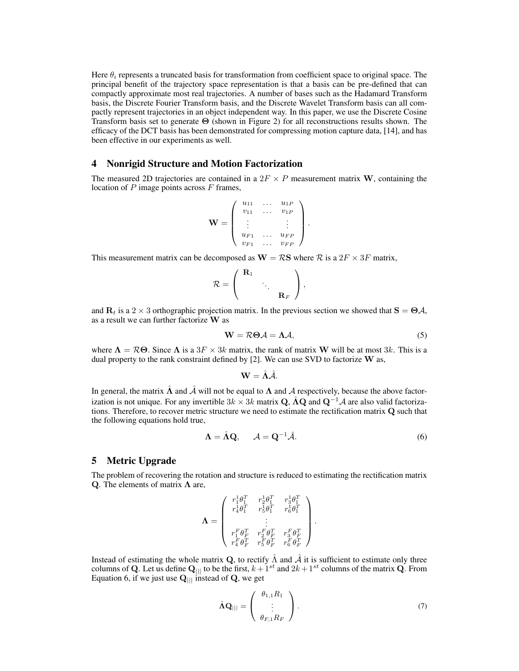Here  $\theta_i$  represents a truncated basis for transformation from coefficient space to original space. The principal benefit of the trajectory space representation is that a basis can be pre-defined that can compactly approximate most real trajectories. A number of bases such as the Hadamard Transform basis, the Discrete Fourier Transform basis, and the Discrete Wavelet Transform basis can all compactly represent trajectories in an object independent way. In this paper, we use the Discrete Cosine Transform basis set to generate Θ (shown in Figure 2) for all reconstructions results shown. The efficacy of the DCT basis has been demonstrated for compressing motion capture data, [14], and has been effective in our experiments as well.

## 4 Nonrigid Structure and Motion Factorization

The measured 2D trajectories are contained in a  $2F \times P$  measurement matrix W, containing the location of  $P$  image points across  $F$  frames,

$$
\mathbf{W} = \left( \begin{array}{cccc} u_{11} & \dots & u_{1P} \\ v_{11} & \dots & v_{1P} \\ \vdots & & \vdots \\ u_{F1} & \dots & u_{FP} \\ v_{F1} & \dots & v_{FP} \end{array} \right)
$$

This measurement matrix can be decomposed as  $W = \mathcal{R}S$  where  $\mathcal{R}$  is a  $2F \times 3F$  matrix,

$$
\mathcal{R}=\left(\begin{array}{ccc} \mathbf{R}_1 & & \\ & \ddots & \\ & & \mathbf{R}_F \end{array}\right),
$$

and  $\mathbf{R}_t$  is a 2 × 3 orthographic projection matrix. In the previous section we showed that  $\mathbf{S} = \boldsymbol{\Theta} \mathcal{A}$ , as a result we can further factorize W as

$$
W = R\Theta A = \Lambda A,\tag{5}
$$

.

where  $\Lambda = \mathcal{R}\Theta$ . Since  $\Lambda$  is a  $3F \times 3k$  matrix, the rank of matrix W will be at most 3k. This is a dual property to the rank constraint defined by  $[2]$ . We can use SVD to factorize W as,

$$
\mathbf{W}=\hat{\boldsymbol{\Lambda}}\hat{\mathcal{A}}.
$$

In general, the matrix  $\hat{\Lambda}$  and  $\hat{\mathcal{A}}$  will not be equal to  $\Lambda$  and  $\hat{\mathcal{A}}$  respectively, because the above factorization is not unique. For any invertible  $3k \times 3k$  matrix Q,  $\hat{A}Q$  and  $Q^{-1}A$  are also valid factorizations. Therefore, to recover metric structure we need to estimate the rectification matrix Q such that the following equations hold true,

$$
\Lambda = \hat{\Lambda} \mathbf{Q}, \qquad \mathcal{A} = \mathbf{Q}^{-1} \hat{\mathcal{A}}.
$$
 (6)

.

#### 5 Metric Upgrade

The problem of recovering the rotation and structure is reduced to estimating the rectification matrix Q. The elements of matrix  $\Lambda$  are,

$$
\mathbf{\Lambda} = \left( \begin{array}{ccc} r_1^1 \theta_1^T & r_2^1 \theta_1^T & r_3^1 \theta_1^T \\ r_4^1 \theta_1^T & r_5^1 \theta_1^T & r_6^1 \theta_1^T \\ \vdots & \vdots \\ r_1^F \theta_F^T & r_2^F \theta_F^T & r_3^F \theta_F^T \\ r_4^F \theta_F^T & r_5^F \theta_F^T & r_6^F \theta_F^T \end{array} \right)
$$

Instead of estimating the whole matrix Q, to rectify  $\hat{\Lambda}$  and  $\hat{\mathcal{A}}$  it is sufficient to estimate only three columns of Q. Let us define  $Q_{\text{||}}$  to be the first,  $k + 1^{st}$  and  $2k + 1^{st}$  columns of the matrix Q. From Equation 6, if we just use  $Q_{\parallel\parallel}$  instead of Q, we get

$$
\hat{\Lambda} \mathbf{Q}_{\parallel \parallel} = \left( \begin{array}{c} \theta_{1,1} R_1 \\ \vdots \\ \theta_{F,1} R_F \end{array} \right). \tag{7}
$$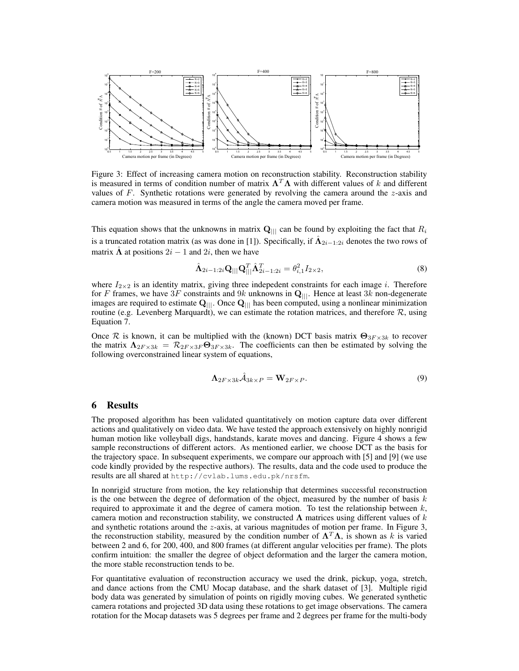

Figure 3: Effect of increasing camera motion on reconstruction stability. Reconstruction stability is measured in terms of condition number of matrix  $\Lambda^T \Lambda$  with different values of k and different values of F. Synthetic rotations were generated by revolving the camera around the  $z$ -axis and camera motion was measured in terms of the angle the camera moved per frame.

This equation shows that the unknowns in matrix  $Q_{\text{||}}$  can be found by exploiting the fact that  $R_i$ is a truncated rotation matrix (as was done in [1]). Specifically, if  $\hat{\Lambda}_{2i-1:2i}$  denotes the two rows of matrix  $\Lambda$  at positions  $2i - 1$  and  $2i$ , then we have

$$
\hat{\mathbf{\Lambda}}_{2i-1:2i}\mathbf{Q}_{|||}\mathbf{Q}_{|||}^T\hat{\mathbf{\Lambda}}_{2i-1:2i}^T = \theta_{i,1}^2I_{2\times 2},
$$
\n(8)

where  $I_{2\times 2}$  is an identity matrix, giving three indepedent constraints for each image i. Therefore for F frames, we have  $3F$  constraints and  $9k$  unknowns in  $\mathbf{Q}_{|||}$ . Hence at least  $3k$  non-degenerate images are required to estimate  $Q_{|||}$ . Once  $Q_{|||}$  has been computed, using a nonlinear minimization routine (e.g. Levenberg Marquardt), we can estimate the rotation matrices, and therefore  $\mathcal{R}$ , using Equation 7.

Once R is known, it can be multiplied with the (known) DCT basis matrix  $\Theta_{3F \times 3k}$  to recover the matrix  $\Lambda_{2F \times 3k} = \mathcal{R}_{2F \times 3F} \Theta_{3F \times 3k}$ . The coefficients can then be estimated by solving the following overconstrained linear system of equations,

$$
\Lambda_{2F \times 3k} \hat{\mathcal{A}}_{3k \times P} = \mathbf{W}_{2F \times P}.
$$
\n(9)

# 6 Results

The proposed algorithm has been validated quantitatively on motion capture data over different actions and qualitatively on video data. We have tested the approach extensively on highly nonrigid human motion like volleyball digs, handstands, karate moves and dancing. Figure 4 shows a few sample reconstructions of different actors. As mentioned earlier, we choose DCT as the basis for the trajectory space. In subsequent experiments, we compare our approach with [5] and [9] (we use code kindly provided by the respective authors). The results, data and the code used to produce the results are all shared at http://cvlab.lums.edu.pk/nrsfm.

In nonrigid structure from motion, the key relationship that determines successful reconstruction is the one between the degree of deformation of the object, measured by the number of basis  $k$ required to approximate it and the degree of camera motion. To test the relationship between  $k$ , camera motion and reconstruction stability, we constructed  $\Lambda$  matrices using different values of k and synthetic rotations around the z-axis, at various magnitudes of motion per frame. In Figure 3, the reconstruction stability, measured by the condition number of  $\Lambda^T \Lambda$ , is shown as k is varied between 2 and 6, for 200, 400, and 800 frames (at different angular velocities per frame). The plots confirm intuition: the smaller the degree of object deformation and the larger the camera motion, the more stable reconstruction tends to be.

For quantitative evaluation of reconstruction accuracy we used the drink, pickup, yoga, stretch, and dance actions from the CMU Mocap database, and the shark dataset of [3]. Multiple rigid body data was generated by simulation of points on rigidly moving cubes. We generated synthetic camera rotations and projected 3D data using these rotations to get image observations. The camera rotation for the Mocap datasets was 5 degrees per frame and 2 degrees per frame for the multi-body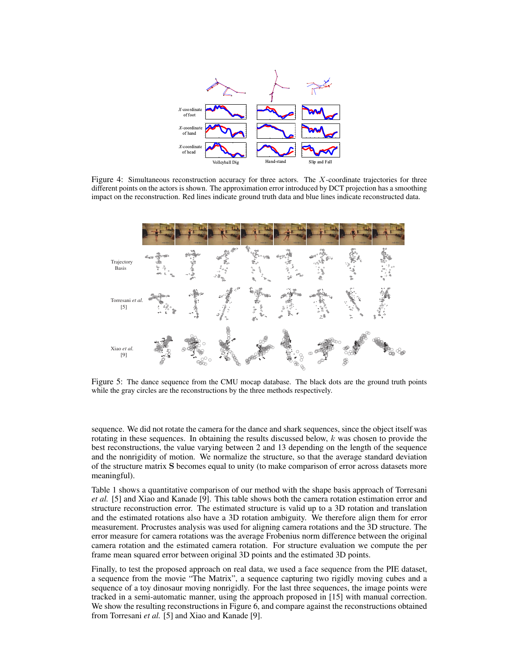

Figure 4: Simultaneous reconstruction accuracy for three actors. The X-coordinate trajectories for three different points on the actors is shown. The approximation error introduced by DCT projection has a smoothing impact on the reconstruction. Red lines indicate ground truth data and blue lines indicate reconstructed data.



Figure 5: The dance sequence from the CMU mocap database. The black dots are the ground truth points while the gray circles are the reconstructions by the three methods respectively.

sequence. We did not rotate the camera for the dance and shark sequences, since the object itself was rotating in these sequences. In obtaining the results discussed below,  $k$  was chosen to provide the best reconstructions, the value varying between 2 and 13 depending on the length of the sequence and the nonrigidity of motion. We normalize the structure, so that the average standard deviation of the structure matrix S becomes equal to unity (to make comparison of error across datasets more meaningful).

Table 1 shows a quantitative comparison of our method with the shape basis approach of Torresani *et al.* [5] and Xiao and Kanade [9]. This table shows both the camera rotation estimation error and structure reconstruction error. The estimated structure is valid up to a 3D rotation and translation and the estimated rotations also have a 3D rotation ambiguity. We therefore align them for error measurement. Procrustes analysis was used for aligning camera rotations and the 3D structure. The error measure for camera rotations was the average Frobenius norm difference between the original camera rotation and the estimated camera rotation. For structure evaluation we compute the per frame mean squared error between original 3D points and the estimated 3D points.

Finally, to test the proposed approach on real data, we used a face sequence from the PIE dataset, a sequence from the movie "The Matrix", a sequence capturing two rigidly moving cubes and a sequence of a toy dinosaur moving nonrigidly. For the last three sequences, the image points were tracked in a semi-automatic manner, using the approach proposed in [15] with manual correction. We show the resulting reconstructions in Figure 6, and compare against the reconstructions obtained from Torresani *et al.* [5] and Xiao and Kanade [9].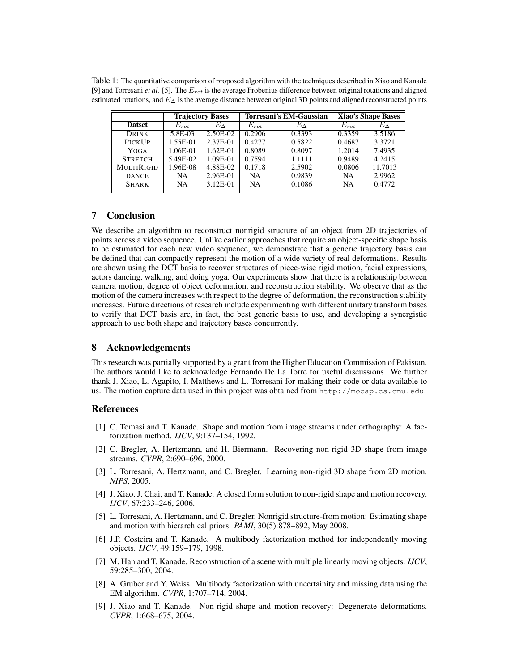Table 1: The quantitative comparison of proposed algorithm with the techniques described in Xiao and Kanade [9] and Torresani *et al.* [5]. The Erot is the average Frobenius difference between original rotations and aligned estimated rotations, and  $E_{\Delta}$  is the average distance between original 3D points and aligned reconstructed points

|                   | <b>Trajectory Bases</b> |              | Torresani's EM-Gaussian |              | <b>Xiao's Shape Bases</b> |              |
|-------------------|-------------------------|--------------|-------------------------|--------------|---------------------------|--------------|
| <b>Datset</b>     | $E_{rot}$               | $E_{\Delta}$ | $E_{rot}$               | $E_{\Delta}$ | $E_{rot}$                 | $E_{\Delta}$ |
| DRINK             | 5.8E-03                 | 2.50E-02     | 0.2906                  | 0.3393       | 0.3359                    | 3.5186       |
| PICKUP            | 1.55E-01                | 2.37E-01     | 0.4277                  | 0.5822       | 0.4687                    | 3.3721       |
| YOGA              | 1.06E-01                | $1.62E-01$   | 0.8089                  | 0.8097       | 1.2014                    | 7.4935       |
| <b>STRETCH</b>    | 5.49E-02                | $1.09E-01$   | 0.7594                  | 1.1111       | 0.9489                    | 4.2415       |
| <b>MULTIRIGID</b> | 1.96E-08                | 4.88E-02     | 0.1718                  | 2.5902       | 0.0806                    | 11.7013      |
| <b>DANCE</b>      | NA.                     | 2.96E-01     | <b>NA</b>               | 0.9839       | <b>NA</b>                 | 2.9962       |
| <b>SHARK</b>      | <b>NA</b>               | 3.12E-01     | <b>NA</b>               | 0.1086       | <b>NA</b>                 | 0.4772       |

# 7 Conclusion

We describe an algorithm to reconstruct nonrigid structure of an object from 2D trajectories of points across a video sequence. Unlike earlier approaches that require an object-specific shape basis to be estimated for each new video sequence, we demonstrate that a generic trajectory basis can be defined that can compactly represent the motion of a wide variety of real deformations. Results are shown using the DCT basis to recover structures of piece-wise rigid motion, facial expressions, actors dancing, walking, and doing yoga. Our experiments show that there is a relationship between camera motion, degree of object deformation, and reconstruction stability. We observe that as the motion of the camera increases with respect to the degree of deformation, the reconstruction stability increases. Future directions of research include experimenting with different unitary transform bases to verify that DCT basis are, in fact, the best generic basis to use, and developing a synergistic approach to use both shape and trajectory bases concurrently.

## 8 Acknowledgements

This research was partially supported by a grant from the Higher Education Commission of Pakistan. The authors would like to acknowledge Fernando De La Torre for useful discussions. We further thank J. Xiao, L. Agapito, I. Matthews and L. Torresani for making their code or data available to us. The motion capture data used in this project was obtained from http://mocap.cs.cmu.edu.

## References

- [1] C. Tomasi and T. Kanade. Shape and motion from image streams under orthography: A factorization method. *IJCV*, 9:137–154, 1992.
- [2] C. Bregler, A. Hertzmann, and H. Biermann. Recovering non-rigid 3D shape from image streams. *CVPR*, 2:690–696, 2000.
- [3] L. Torresani, A. Hertzmann, and C. Bregler. Learning non-rigid 3D shape from 2D motion. *NIPS*, 2005.
- [4] J. Xiao, J. Chai, and T. Kanade. A closed form solution to non-rigid shape and motion recovery. *IJCV*, 67:233–246, 2006.
- [5] L. Torresani, A. Hertzmann, and C. Bregler. Nonrigid structure-from motion: Estimating shape and motion with hierarchical priors. *PAMI*, 30(5):878–892, May 2008.
- [6] J.P. Costeira and T. Kanade. A multibody factorization method for independently moving objects. *IJCV*, 49:159–179, 1998.
- [7] M. Han and T. Kanade. Reconstruction of a scene with multiple linearly moving objects. *IJCV*, 59:285–300, 2004.
- [8] A. Gruber and Y. Weiss. Multibody factorization with uncertainity and missing data using the EM algorithm. *CVPR*, 1:707–714, 2004.
- [9] J. Xiao and T. Kanade. Non-rigid shape and motion recovery: Degenerate deformations. *CVPR*, 1:668–675, 2004.